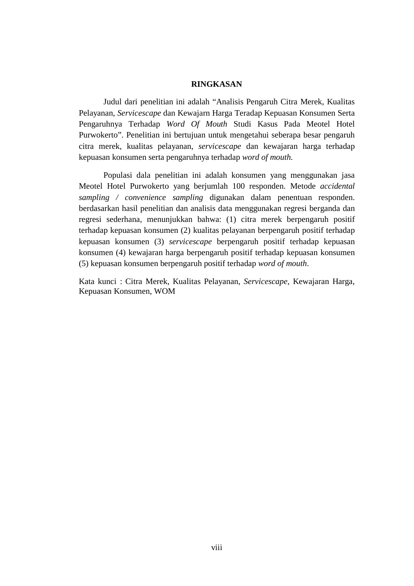## **RINGKASAN**

Judul dari penelitian ini adalah "Analisis Pengaruh Citra Merek, Kualitas Pelayanan, *Servicescape* dan Kewajarn Harga Teradap Kepuasan Konsumen Serta Pengaruhnya Terhadap *Word Of Mouth* Studi Kasus Pada Meotel Hotel Purwokerto". Penelitian ini bertujuan untuk mengetahui seberapa besar pengaruh citra merek, kualitas pelayanan, *servicescape* dan kewajaran harga terhadap kepuasan konsumen serta pengaruhnya terhadap *word of mouth.*

Populasi dala penelitian ini adalah konsumen yang menggunakan jasa Meotel Hotel Purwokerto yang berjumlah 100 responden. Metode *accidental sampling / convenience sampling* digunakan dalam penentuan responden. berdasarkan hasil penelitian dan analisis data menggunakan regresi berganda dan regresi sederhana, menunjukkan bahwa: (1) citra merek berpengaruh positif terhadap kepuasan konsumen (2) kualitas pelayanan berpengaruh positif terhadap kepuasan konsumen (3) *servicescape* berpengaruh positif terhadap kepuasan konsumen (4) kewajaran harga berpengaruh positif terhadap kepuasan konsumen (5) kepuasan konsumen berpengaruh positif terhadap *word of mouth*.

Kata kunci : Citra Merek, Kualitas Pelayanan, *Servicescape*, Kewajaran Harga, Kepuasan Konsumen, WOM